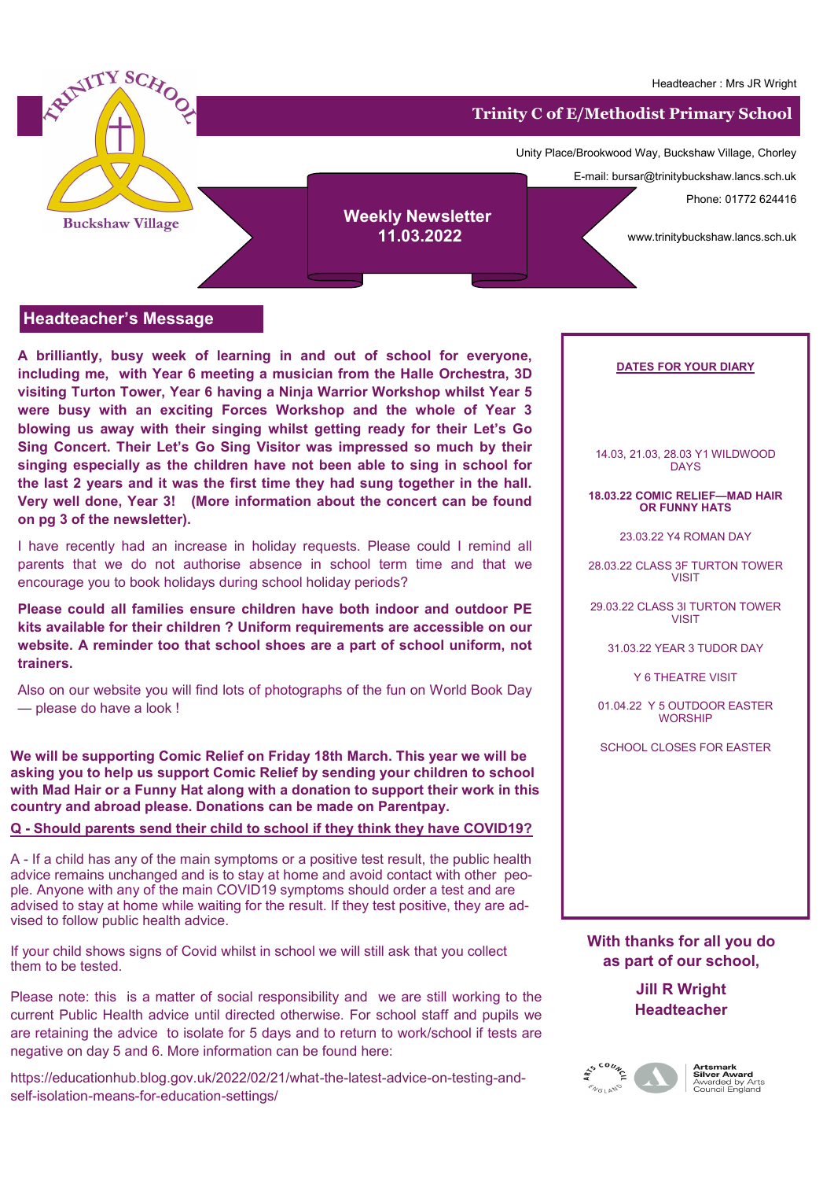

## **Headteacher's Message**

**A brilliantly, busy week of learning in and out of school for everyone, including me, with Year 6 meeting a musician from the Halle Orchestra, 3D visiting Turton Tower, Year 6 having a Ninja Warrior Workshop whilst Year 5 were busy with an exciting Forces Workshop and the whole of Year 3 blowing us away with their singing whilst getting ready for their Let's Go Sing Concert. Their Let's Go Sing Visitor was impressed so much by their singing especially as the children have not been able to sing in school for the last 2 years and it was the first time they had sung together in the hall. Very well done, Year 3! (More information about the concert can be found on pg 3 of the newsletter).**

I have recently had an increase in holiday requests. Please could I remind all parents that we do not authorise absence in school term time and that we encourage you to book holidays during school holiday periods?

**Please could all families ensure children have both indoor and outdoor PE kits available for their children ? Uniform requirements are accessible on our website. A reminder too that school shoes are a part of school uniform, not trainers.** 

Also on our website you will find lots of photographs of the fun on World Book Day — please do have a look !

**We will be supporting Comic Relief on Friday 18th March. This year we will be asking you to help us support Comic Relief by sending your children to school with Mad Hair or a Funny Hat along with a donation to support their work in this country and abroad please. Donations can be made on Parentpay.** 

**Q - Should parents send their child to school if they think they have COVID19?**

A - If a child has any of the main symptoms or a positive test result, the public health advice remains unchanged and is to stay at home and avoid contact with other people. Anyone with any of the main COVID19 symptoms should order a test and are advised to stay at home while waiting for the result. If they test positive, they are advised to follow public health advice.

If your child shows signs of Covid whilst in school we will still ask that you collect **part of our school,** them to be tested.

**Jill R Wright**  Please note: this is a matter of social responsibility and we are still working to the current Public Health advice until directed otherwise. For school staff and pupils we are retaining the advice to isolate for 5 days and to return to work/school if tests are negative on day 5 and 6. More information can be found here:

https://educationhub.blog.gov.uk/2022/02/21/what-the-latest-advice-on-testing-andself-isolation-means-for-education-settings/

### **DATES FOR YOUR DIARY**

14.03, 21.03, 28.03 Y1 WILDWOOD DAYS

**18.03.22 COMIC RELIEF—MAD HAIR OR FUNNY HATS** 

23.03.22 Y4 ROMAN DAY

28.03.22 CLASS 3F TURTON TOWER VISIT

29.03.22 CLASS 3I TURTON TOWER VISIT

31.03.22 YEAR 3 TUDOR DAY

Y 6 THEATRE VISIT

01.04.22 Y 5 OUTDOOR EASTER **WORSHIP** 

SCHOOL CLOSES FOR EASTER

### **With thanks for all you do as part of our school,**

**Jill R Wright Headteacher** 



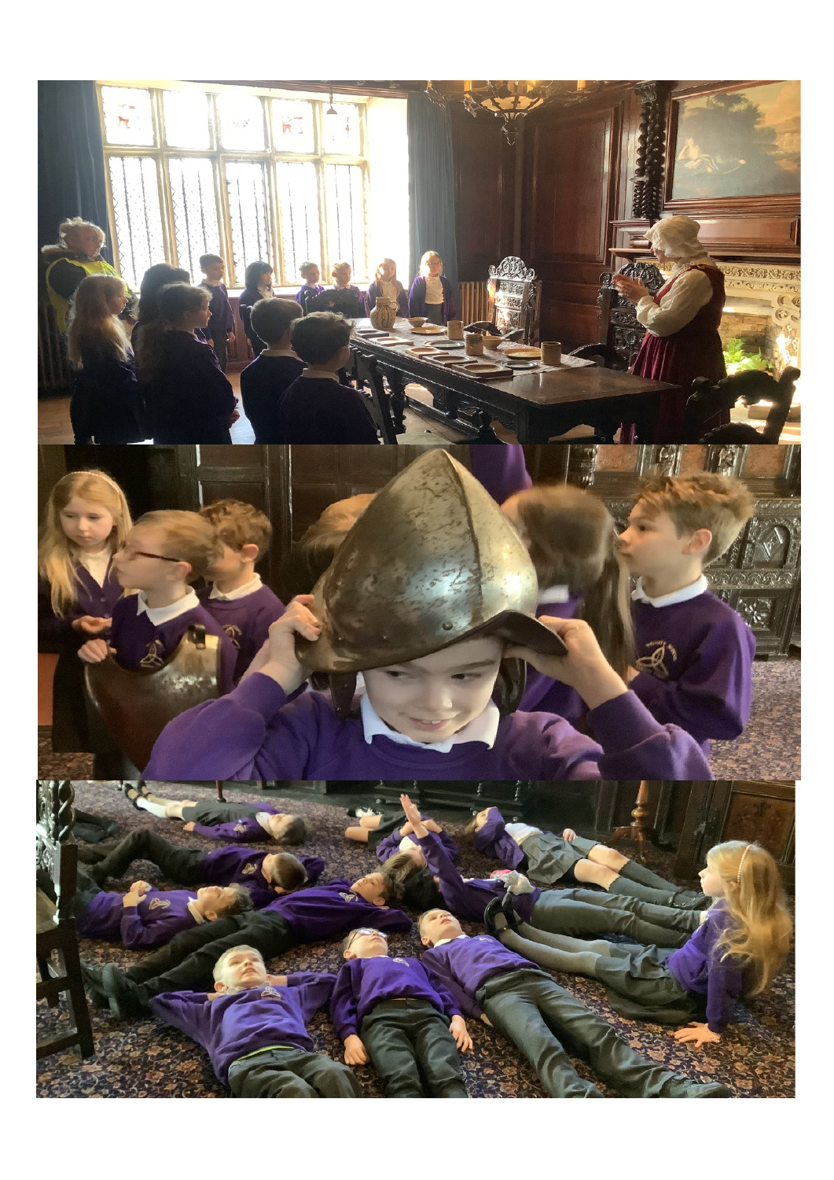